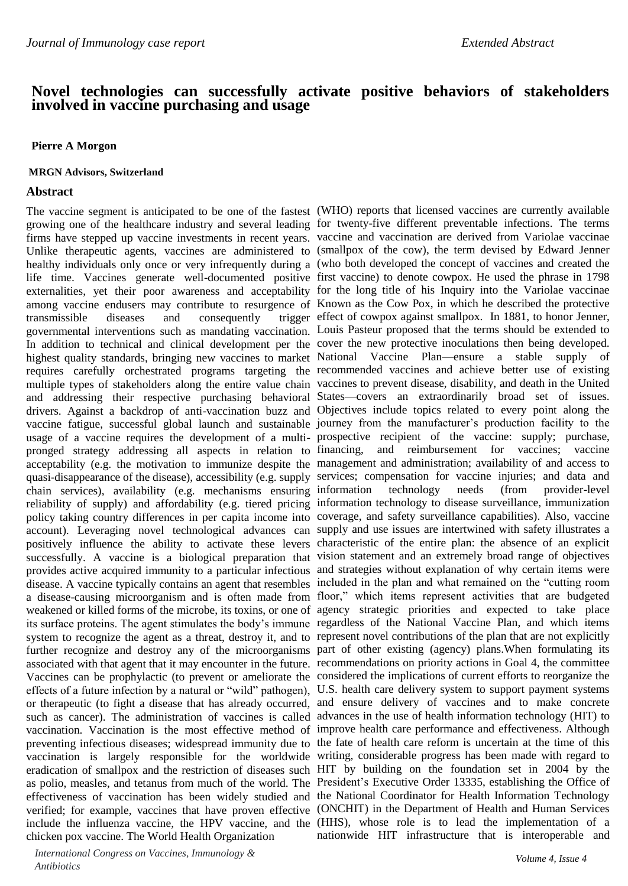# **Novel technologies can successfully activate positive behaviors of stakeholders involved in vaccine purchasing and usage**

### **Pierre A Morgon**

#### **MRGN Advisors, Switzerland**

#### **Abstract**

In addition to technical and clinical development per the cover the new protective inoculations then being developed. chicken pox vaccine. The World Health Organization

*International Congress on Vaccines, Immunology & Antibiotics*

The vaccine segment is anticipated to be one of the fastest (WHO) reports that licensed vaccines are currently available growing one of the healthcare industry and several leading for twenty-five different preventable infections. The terms firms have stepped up vaccine investments in recent years. vaccine and vaccination are derived from Variolae vaccinae Unlike therapeutic agents, vaccines are administered to (smallpox of the cow), the term devised by Edward Jenner healthy individuals only once or very infrequently during a (who both developed the concept of vaccines and created the life time. Vaccines generate well-documented positive first vaccine) to denote cowpox. He used the phrase in 1798 externalities, yet their poor awareness and acceptability for the long title of his Inquiry into the Variolae vaccinae among vaccine endusers may contribute to resurgence of Known as the Cow Pox, in which he described the protective transmissible diseases and consequently trigger effect of cowpox against smallpox. In 1881, to honor Jenner, governmental interventions such as mandating vaccination. Louis Pasteur proposed that the terms should be extended to highest quality standards, bringing new vaccines to market National Vaccine Plan—ensure a stable supply of requires carefully orchestrated programs targeting the recommended vaccines and achieve better use of existing multiple types of stakeholders along the entire value chain vaccines to prevent disease, disability, and death in the United and addressing their respective purchasing behavioral States—covers an extraordinarily broad set of issues. drivers. Against a backdrop of anti-vaccination buzz and Objectives include topics related to every point along the vaccine fatigue, successful global launch and sustainable journey from the manufacturer's production facility to the usage of a vaccine requires the development of a multi-prospective recipient of the vaccine: supply; purchase, pronged strategy addressing all aspects in relation to financing, and reimbursement for vaccines; vaccine acceptability (e.g. the motivation to immunize despite the management and administration; availability of and access to quasi-disappearance of the disease), accessibility (e.g. supply services; compensation for vaccine injuries; and data and chain services), availability (e.g. mechanisms ensuring information technology needs (from provider-level reliability of supply) and affordability (e.g. tiered pricing information technology to disease surveillance, immunization policy taking country differences in per capita income into coverage, and safety surveillance capabilities). Also, vaccine account). Leveraging novel technological advances can supply and use issues are intertwined with safety illustrates a positively influence the ability to activate these levers characteristic of the entire plan: the absence of an explicit successfully. A vaccine is a biological preparation that vision statement and an extremely broad range of objectives provides active acquired immunity to a particular infectious and strategies without explanation of why certain items were disease. A vaccine typically contains an agent that resembles included in the plan and what remained on the "cutting room a disease-causing microorganism and is often made from floor," which items represent activities that are budgeted weakened or killed forms of the microbe, its toxins, or one of agency strategic priorities and expected to take place its surface proteins. The agent stimulates the body's immune regardless of the National Vaccine Plan, and which items system to recognize the agent as a threat, destroy it, and to represent novel contributions of the plan that are not explicitly further recognize and destroy any of the microorganisms part of other existing (agency) plans.When formulating its associated with that agent that it may encounter in the future. recommendations on priority actions in Goal 4, the committee Vaccines can be prophylactic (to prevent or ameliorate the considered the implications of current efforts to reorganize the effects of a future infection by a natural or "wild" pathogen), U.S. health care delivery system to support payment systems or therapeutic (to fight a disease that has already occurred, and ensure delivery of vaccines and to make concrete such as cancer). The administration of vaccines is called advances in the use of health information technology (HIT) to vaccination. Vaccination is the most effective method of improve health care performance and effectiveness. Although preventing infectious diseases; widespread immunity due to the fate of health care reform is uncertain at the time of this vaccination is largely responsible for the worldwide writing, considerable progress has been made with regard to eradication of smallpox and the restriction of diseases such HIT by building on the foundation set in 2004 by the as polio, measles, and tetanus from much of the world. The President's Executive Order 13335, establishing the Office of effectiveness of vaccination has been widely studied and the National Coordinator for Health Information Technology verified; for example, vaccines that have proven effective (ONCHIT) in the Department of Health and Human Services include the influenza vaccine, the HPV vaccine, and the (HHS), whose role is to lead the implementation of a nationwide HIT infrastructure that is interoperable and